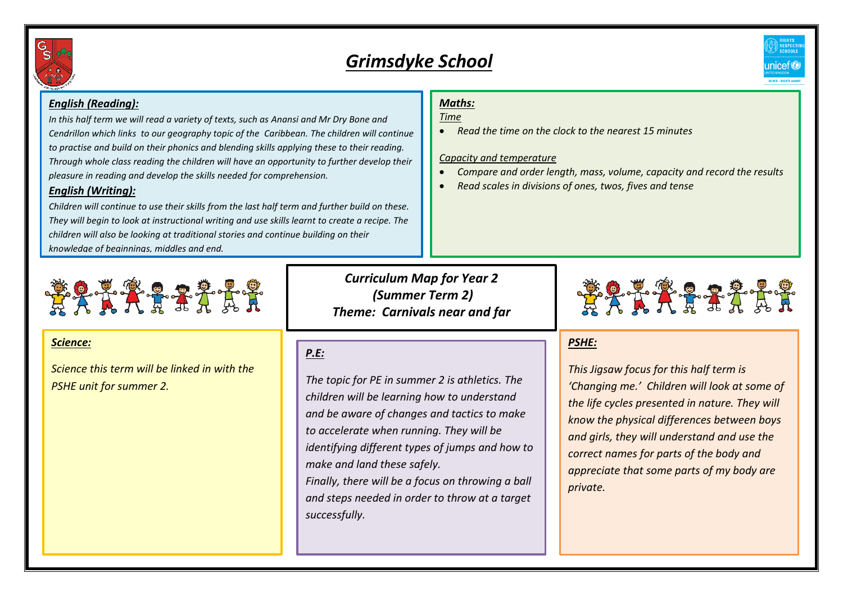

# *Grimsdyke School*

# *English (Reading):*

*In this half term we will read a variety of texts, such as Anansi and Mr Dry Bone and Cendrillon which links to our geography topic of the Caribbean. The children will continue to practise and build on their phonics and blending skills applying these to their reading. Through whole class reading the children will have an opportunity to further develop their pleasure in reading and develop the skills needed for comprehension.*

### *English (Writing):*

*Children will continue to use their skills from the last half term and further build on these. They will begin to look at instructional writing and use skills learnt to create a recipe. The children will also be looking at traditional stories and continue building on their knowledge of beginnings, middles and end.* 

# **\*\*\*\*\*\*\*\*\*\***

### *Science:*

*Science this term will be linked in with the PSHE unit for summer 2.*

*Curriculum Map for Year 2 (Summer Term 2) Theme: Carnivals near and far*

# *P.E:*

*The topic for PE in summer 2 is athletics. The children will be learning how to understand and be aware of changes and tactics to make to accelerate when running. They will be identifying different types of jumps and how to make and land these safely. Finally, there will be a focus on throwing a ball* 

*and steps needed in order to throw at a target successfully.* 

# *Maths:*

### *Time*

*Read the time on the clock to the nearest 15 minutes*

### *Capacity and temperature*

- *Compare and order length, mass, volume, capacity and record the results*
- *Read scales in divisions of ones, twos, fives and tense*



# *PSHE:*

*This Jigsaw focus for this half term is 'Changing me.' Children will look at some of the life cycles presented in nature. They will know the physical differences between boys and girls, they will understand and use the correct names for parts of the body and appreciate that some parts of my body are private.*